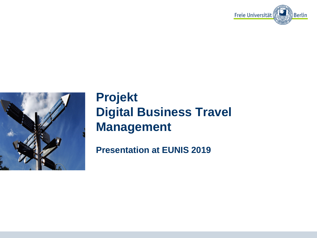



# **Projekt Digital Business Travel Management**

**Presentation at EUNIS 2019**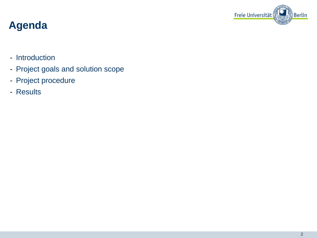

# **Agenda**

- Introduction
- Project goals and solution scope
- Project procedure
- Results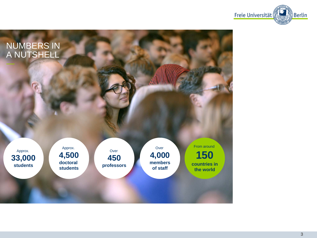

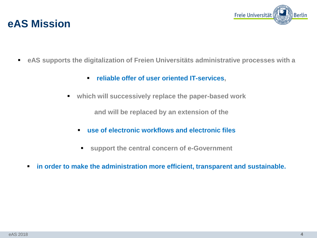



- **eAS supports the digitalization of Freien Universitäts administrative processes with a**
	- **reliable offer of user oriented IT-services,**
	- **which will successively replace the paper-based work and will be replaced by an extension of the**
		- **use of electronic workflows and electronic files**
		- **support the central concern of e-Government**
	- **in order to make the administration more efficient, transparent and sustainable.**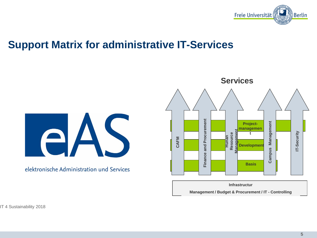

#### **Support Matrix for administrative IT-Services**



IT 4 Sustainability 2018

**IT-Security**

IT-Security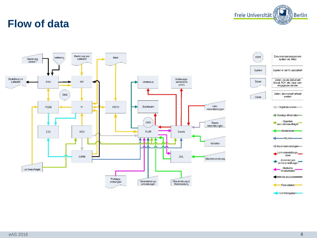

### **Flow of data**

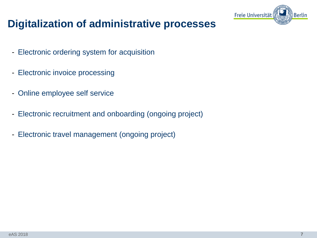

# **Digitalization of administrative processes**

- Electronic ordering system for acquisition
- Electronic invoice processing
- Online employee self service
- Electronic recruitment and onboarding (ongoing project)
- Electronic travel management (ongoing project)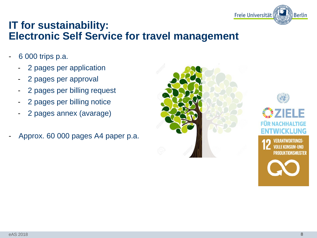

### **IT for sustainability: Electronic Self Service for travel management**

- 6 000 trips p.a.
	- 2 pages per application
	- 2 pages per approval
	- 2 pages per billing request
	- 2 pages per billing notice
	- 2 pages annex (avarage)
- Approx. 60 000 pages A4 paper p.a.





**VERANTWORTUNGS-VOLLE KONSUM-UND PRODUKTIONSMUSTER**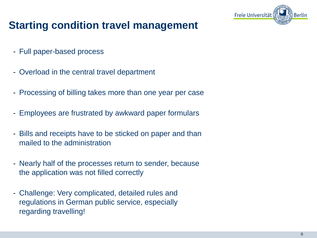

# **Starting condition travel management**

- Full paper-based process
- Overload in the central travel department
- Processing of billing takes more than one year per case
- Employees are frustrated by awkward paper formulars
- Bills and receipts have to be sticked on paper and than mailed to the administration
- Nearly half of the processes return to sender, because the application was not filled correctly
- Challenge: Very complicated, detailed rules and regulations in German public service, especially regarding travelling!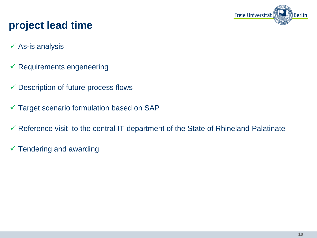

# **project lead time**

- $\checkmark$  As-is analysis
- $\checkmark$  Requirements engeneering
- $\checkmark$  Description of future process flows
- $\checkmark$  Target scenario formulation based on SAP
- $\checkmark$  Reference visit to the central IT-department of the State of Rhineland-Palatinate
- $\checkmark$  Tendering and awarding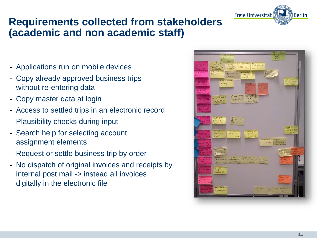#### **Requirements collected from stakeholders (academic and non academic staff)**

- Applications run on mobile devices
- Copy already approved business trips without re-entering data
- Copy master data at login
- Access to settled trips in an electronic record
- Plausibility checks during input
- Search help for selecting account assignment elements
- Request or settle business trip by order
- No dispatch of original invoices and receipts by internal post mail -> instead all invoices digitally in the electronic file



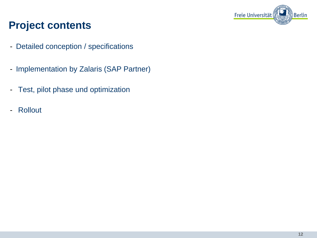

### **Project contents**

- Detailed conception / specifications
- Implementation by Zalaris (SAP Partner)
- Test, pilot phase und optimization
- Rollout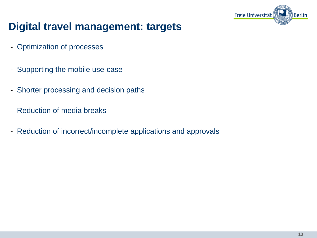

## **Digital travel management: targets**

- Optimization of processes
- Supporting the mobile use-case
- Shorter processing and decision paths
- Reduction of media breaks
- Reduction of incorrect/incomplete applications and approvals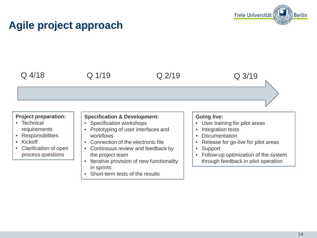

# **Agile project approach**

Q 4/18 Q 1/19 Q 2/19 Q 3/19

#### **Project preparation:**

- Technical requirements
- Responsibilities
- Kickoff
- Clarification of open process questions

#### **Specification & Development:**

- Specification workshops
- Prototyping of user interfaces and workflows
- Connection of the electronic file
- Continouus review and feedback by the project team
- Iterative provision of new functionality in sprints
- Short-term tests of the results

#### **Going live:**

- User training for pilot areas
- Integration tests
- Documentation
- Release for go-live for pilot areas
- Support
- Follow-up optimization of the system through feedback in pilot operation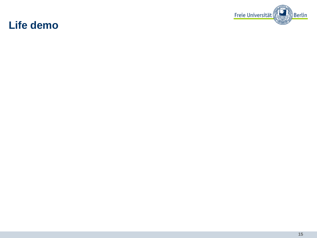

#### **Life demo**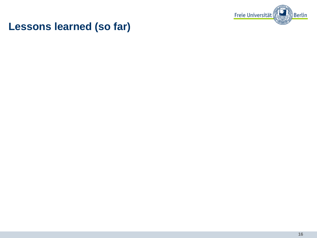

### **Lessons learned (so far)**